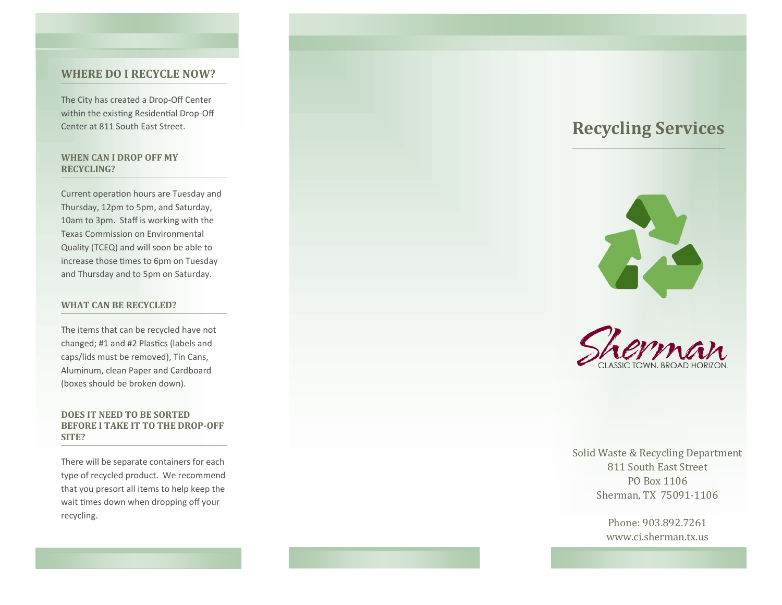### **WHERE DO I RECYCLE NOW?**

The City has created a Drop -Off Center within the existing Residential Drop -Off Center at 811 South East Street.

### **WHEN CAN I DROP OFF MY RECYCLING?**

Current operation hours are Tuesday and Thursday, 12pm to 5pm, and Saturday, 10am to 3pm. Staff is working with the Texas Commission on Environmental Quality (TCEQ) and will soon be able to increase those times to 6pm on Tuesday and Thursday and to 5pm on Saturday.

### **WHAT CAN BE RECYCLED?**

The items that can be recycled have not changed; #1 and #2 Plastics (labels and caps/lids must be removed), Tin Cans, Aluminum, clean Paper and Cardboard (boxes should be broken down).

### **DOES IT NEED TO BE SORTED BEFORE I TAKE IT TO THE DROP -OFF SITE?**

There will be separate containers for each type of recycled product. We recommend that you presort all items to help keep the wait times down when dropping off your recycling.

# **Recycling Services**





Solid Waste & Recycling Department 811 South East Street PO Box 1106 Sherman, TX 75091 -1106

> Phone: 903.892.7261 www.ci.sherman.tx.us